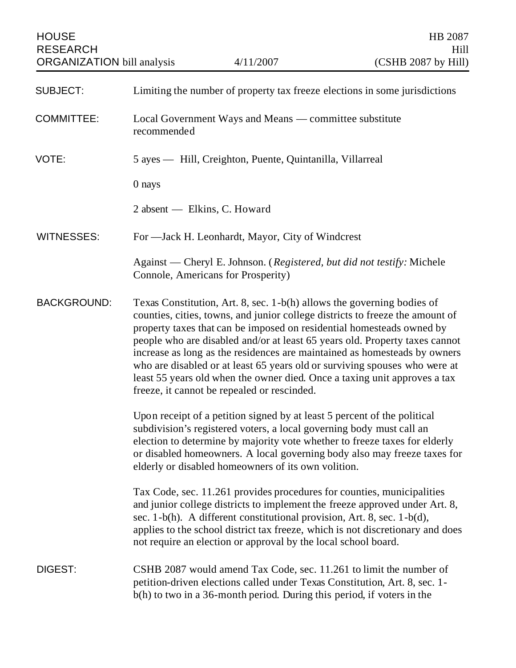HOUSE HB 2087 RESEARCH<br>
ORGANIZATION bill analysis 4/11/2007 (CSHB 2087 by Hill) ORGANIZATION bill analysis

| <b>SUBJECT:</b>    | Limiting the number of property tax freeze elections in some jurisdictions                                                                                                                                                                                                                                                                                                                                                                                                                                                                                                                               |
|--------------------|----------------------------------------------------------------------------------------------------------------------------------------------------------------------------------------------------------------------------------------------------------------------------------------------------------------------------------------------------------------------------------------------------------------------------------------------------------------------------------------------------------------------------------------------------------------------------------------------------------|
| <b>COMMITTEE:</b>  | Local Government Ways and Means — committee substitute<br>recommended                                                                                                                                                                                                                                                                                                                                                                                                                                                                                                                                    |
| VOTE:              | 5 ayes — Hill, Creighton, Puente, Quintanilla, Villarreal                                                                                                                                                                                                                                                                                                                                                                                                                                                                                                                                                |
|                    | 0 nays                                                                                                                                                                                                                                                                                                                                                                                                                                                                                                                                                                                                   |
|                    | 2 absent — Elkins, C. Howard                                                                                                                                                                                                                                                                                                                                                                                                                                                                                                                                                                             |
| <b>WITNESSES:</b>  | For —Jack H. Leonhardt, Mayor, City of Windcrest                                                                                                                                                                                                                                                                                                                                                                                                                                                                                                                                                         |
|                    | Against — Cheryl E. Johnson. (Registered, but did not testify: Michele<br>Connole, Americans for Prosperity)                                                                                                                                                                                                                                                                                                                                                                                                                                                                                             |
| <b>BACKGROUND:</b> | Texas Constitution, Art. 8, sec. $1-b(h)$ allows the governing bodies of<br>counties, cities, towns, and junior college districts to freeze the amount of<br>property taxes that can be imposed on residential homesteads owned by<br>people who are disabled and/or at least 65 years old. Property taxes cannot<br>increase as long as the residences are maintained as homesteads by owners<br>who are disabled or at least 65 years old or surviving spouses who were at<br>least 55 years old when the owner died. Once a taxing unit approves a tax<br>freeze, it cannot be repealed or rescinded. |
|                    | Upon receipt of a petition signed by at least 5 percent of the political<br>subdivision's registered voters, a local governing body must call an<br>election to determine by majority vote whether to freeze taxes for elderly<br>or disabled homeowners. A local governing body also may freeze taxes for<br>elderly or disabled homeowners of its own volition.                                                                                                                                                                                                                                        |
|                    | Tax Code, sec. 11.261 provides procedures for counties, municipalities<br>and junior college districts to implement the freeze approved under Art. 8,<br>sec. 1-b(h). A different constitutional provision, Art. 8, sec. 1-b(d),<br>applies to the school district tax freeze, which is not discretionary and does<br>not require an election or approval by the local school board.                                                                                                                                                                                                                     |
| DIGEST:            | CSHB 2087 would amend Tax Code, sec. 11.261 to limit the number of<br>petition-driven elections called under Texas Constitution, Art. 8, sec. 1-<br>b(h) to two in a 36-month period. During this period, if voters in the                                                                                                                                                                                                                                                                                                                                                                               |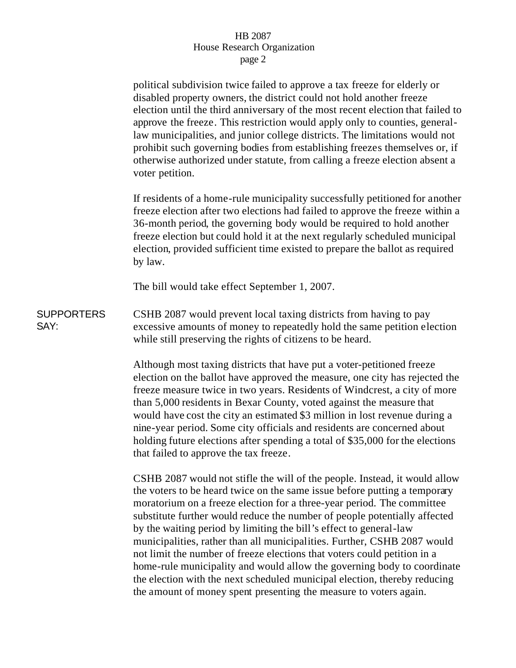## HB 2087 House Research Organization page 2

political subdivision twice failed to approve a tax freeze for elderly or disabled property owners, the district could not hold another freeze election until the third anniversary of the most recent election that failed to approve the freeze. This restriction would apply only to counties, generallaw municipalities, and junior college districts. The limitations would not prohibit such governing bodies from establishing freezes themselves or, if otherwise authorized under statute, from calling a freeze election absent a voter petition. If residents of a home-rule municipality successfully petitioned for another freeze election after two elections had failed to approve the freeze within a 36-month period, the governing body would be required to hold another freeze election but could hold it at the next regularly scheduled municipal election, provided sufficient time existed to prepare the ballot as required by law. The bill would take effect September 1, 2007. **SUPPORTERS** SAY: CSHB 2087 would prevent local taxing districts from having to pay excessive amounts of money to repeatedly hold the same petition election while still preserving the rights of citizens to be heard. Although most taxing districts that have put a voter-petitioned freeze election on the ballot have approved the measure, one city has rejected the freeze measure twice in two years. Residents of Windcrest, a city of more than 5,000 residents in Bexar County, voted against the measure that would have cost the city an estimated \$3 million in lost revenue during a nine-year period. Some city officials and residents are concerned about holding future elections after spending a total of \$35,000 for the elections that failed to approve the tax freeze. CSHB 2087 would not stifle the will of the people. Instead, it would allow the voters to be heard twice on the same issue before putting a temporary moratorium on a freeze election for a three-year period. The committee substitute further would reduce the number of people potentially affected by the waiting period by limiting the bill's effect to general-law municipalities, rather than all municipalities. Further, CSHB 2087 would not limit the number of freeze elections that voters could petition in a home-rule municipality and would allow the governing body to coordinate the election with the next scheduled municipal election, thereby reducing

the amount of money spent presenting the measure to voters again.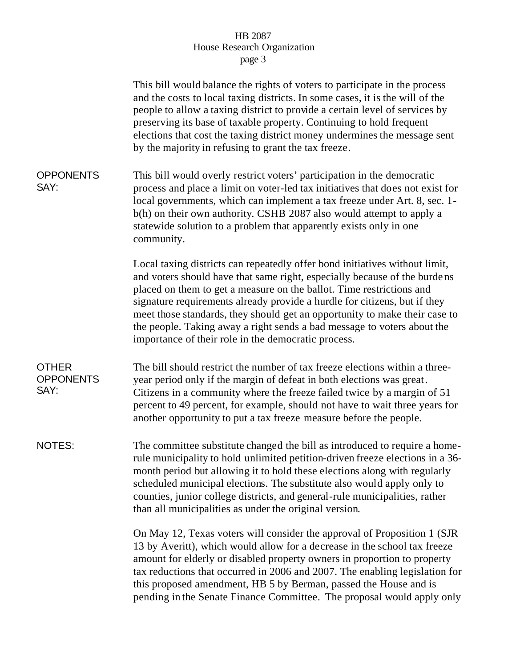## HB 2087 House Research Organization page 3

|                                          | This bill would balance the rights of voters to participate in the process<br>and the costs to local taxing districts. In some cases, it is the will of the<br>people to allow a taxing district to provide a certain level of services by<br>preserving its base of taxable property. Continuing to hold frequent<br>elections that cost the taxing district money undermines the message sent<br>by the majority in refusing to grant the tax freeze.                                                                       |
|------------------------------------------|-------------------------------------------------------------------------------------------------------------------------------------------------------------------------------------------------------------------------------------------------------------------------------------------------------------------------------------------------------------------------------------------------------------------------------------------------------------------------------------------------------------------------------|
| <b>OPPONENTS</b><br>SAY:                 | This bill would overly restrict voters' participation in the democratic<br>process and place a limit on voter-led tax initiatives that does not exist for<br>local governments, which can implement a tax freeze under Art. 8, sec. 1-<br>b(h) on their own authority. CSHB 2087 also would attempt to apply a<br>statewide solution to a problem that apparently exists only in one<br>community.                                                                                                                            |
|                                          | Local taxing districts can repeatedly offer bond initiatives without limit,<br>and voters should have that same right, especially because of the burdens<br>placed on them to get a measure on the ballot. Time restrictions and<br>signature requirements already provide a hurdle for citizens, but if they<br>meet those standards, they should get an opportunity to make their case to<br>the people. Taking away a right sends a bad message to voters about the<br>importance of their role in the democratic process. |
| <b>OTHER</b><br><b>OPPONENTS</b><br>SAY: | The bill should restrict the number of tax freeze elections within a three-<br>year period only if the margin of defeat in both elections was great.<br>Citizens in a community where the freeze failed twice by a margin of 51<br>percent to 49 percent, for example, should not have to wait three years for<br>another opportunity to put a tax freeze measure before the people.                                                                                                                                          |
| <b>NOTES:</b>                            | The committee substitute changed the bill as introduced to require a home-<br>rule municipality to hold unlimited petition-driven freeze elections in a 36-<br>month period but allowing it to hold these elections along with regularly<br>scheduled municipal elections. The substitute also would apply only to<br>counties, junior college districts, and general-rule municipalities, rather<br>than all municipalities as under the original version.                                                                   |
|                                          | On May 12, Texas voters will consider the approval of Proposition 1 (SJR<br>13 by Averitt), which would allow for a decrease in the school tax freeze<br>amount for elderly or disabled property owners in proportion to property<br>tax reductions that occurred in 2006 and 2007. The enabling legislation for<br>this proposed amendment, HB 5 by Berman, passed the House and is<br>pending in the Senate Finance Committee. The proposal would apply only                                                                |